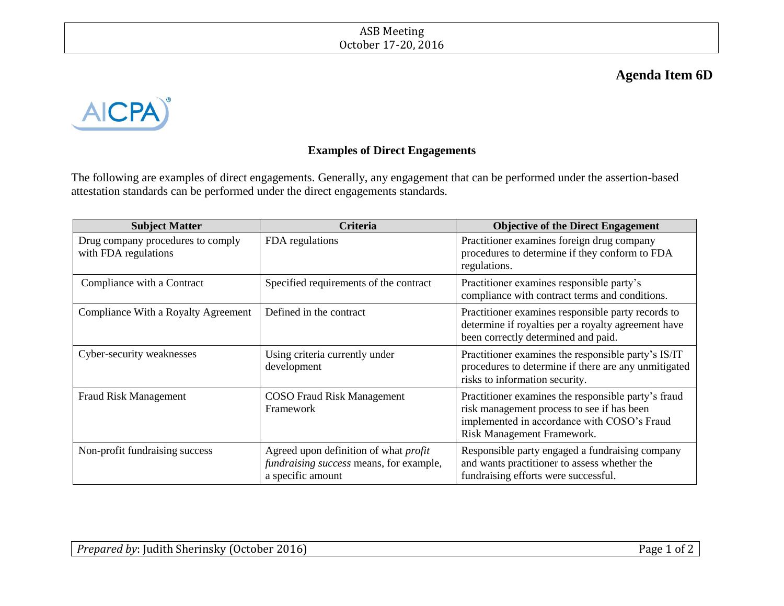## **Agenda Item 6D**



## **Examples of Direct Engagements**

The following are examples of direct engagements. Generally, any engagement that can be performed under the assertion-based attestation standards can be performed under the direct engagements standards.

| <b>Subject Matter</b>                                     | <b>Criteria</b>                                                                                              | <b>Objective of the Direct Engagement</b>                                                                                                                                      |
|-----------------------------------------------------------|--------------------------------------------------------------------------------------------------------------|--------------------------------------------------------------------------------------------------------------------------------------------------------------------------------|
| Drug company procedures to comply<br>with FDA regulations | FDA regulations                                                                                              | Practitioner examines foreign drug company<br>procedures to determine if they conform to FDA<br>regulations.                                                                   |
| Compliance with a Contract                                | Specified requirements of the contract                                                                       | Practitioner examines responsible party's<br>compliance with contract terms and conditions.                                                                                    |
| Compliance With a Royalty Agreement                       | Defined in the contract                                                                                      | Practitioner examines responsible party records to<br>determine if royalties per a royalty agreement have<br>been correctly determined and paid.                               |
| Cyber-security weaknesses                                 | Using criteria currently under<br>development                                                                | Practitioner examines the responsible party's IS/IT<br>procedures to determine if there are any unmitigated<br>risks to information security.                                  |
| <b>Fraud Risk Management</b>                              | <b>COSO</b> Fraud Risk Management<br>Framework                                                               | Practitioner examines the responsible party's fraud<br>risk management process to see if has been<br>implemented in accordance with COSO's Fraud<br>Risk Management Framework. |
| Non-profit fundraising success                            | Agreed upon definition of what <i>profit</i><br>fundraising success means, for example,<br>a specific amount | Responsible party engaged a fundraising company<br>and wants practitioner to assess whether the<br>fundraising efforts were successful.                                        |